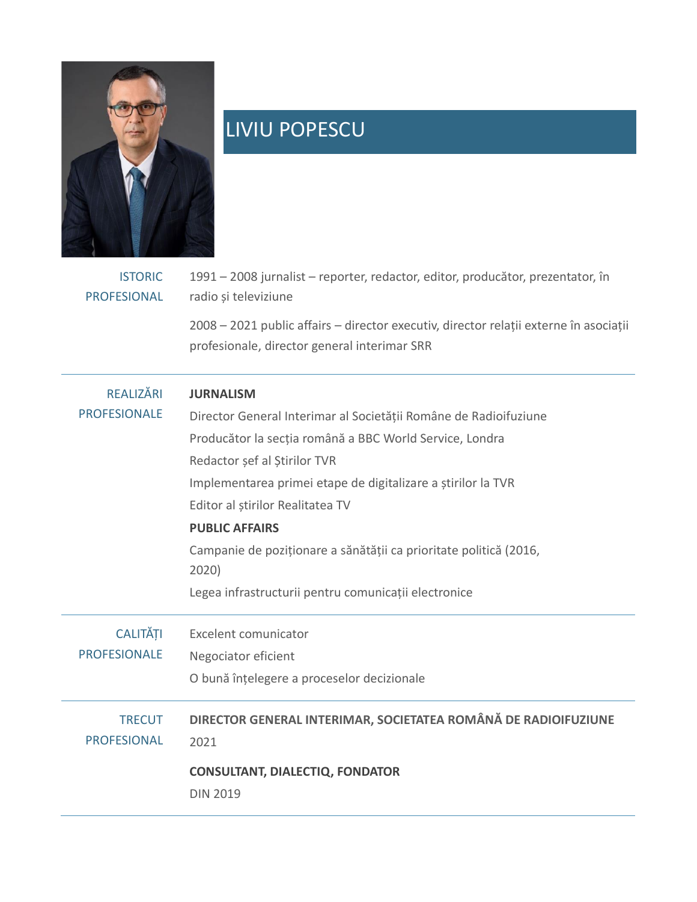

## LIVIU POPESCU

| <b>ISTORIC</b><br><b>PROFESIONAL</b>    | 1991 - 2008 jurnalist - reporter, redactor, editor, producător, prezentator, în<br>radio și televiziune<br>2008 - 2021 public affairs - director executiv, director relații externe în asociații<br>profesionale, director general interimar SRR                                                                                                                                                                                                   |
|-----------------------------------------|----------------------------------------------------------------------------------------------------------------------------------------------------------------------------------------------------------------------------------------------------------------------------------------------------------------------------------------------------------------------------------------------------------------------------------------------------|
| <b>REALIZĂRI</b><br><b>PROFESIONALE</b> | <b>JURNALISM</b><br>Director General Interimar al Societății Române de Radioifuziune<br>Producător la secția română a BBC World Service, Londra<br>Redactor șef al Știrilor TVR<br>Implementarea primei etape de digitalizare a știrilor la TVR<br>Editor al știrilor Realitatea TV<br><b>PUBLIC AFFAIRS</b><br>Campanie de poziționare a sănătății ca prioritate politică (2016,<br>2020)<br>Legea infrastructurii pentru comunicații electronice |
| <b>CALITĂȚI</b><br><b>PROFESIONALE</b>  | <b>Excelent comunicator</b><br>Negociator eficient<br>O bună înțelegere a proceselor decizionale                                                                                                                                                                                                                                                                                                                                                   |
| <b>TRECUT</b><br><b>PROFESIONAL</b>     | DIRECTOR GENERAL INTERIMAR, SOCIETATEA ROMÂNĂ DE RADIOIFUZIUNE<br>2021<br><b>CONSULTANT, DIALECTIQ, FONDATOR</b><br><b>DIN 2019</b>                                                                                                                                                                                                                                                                                                                |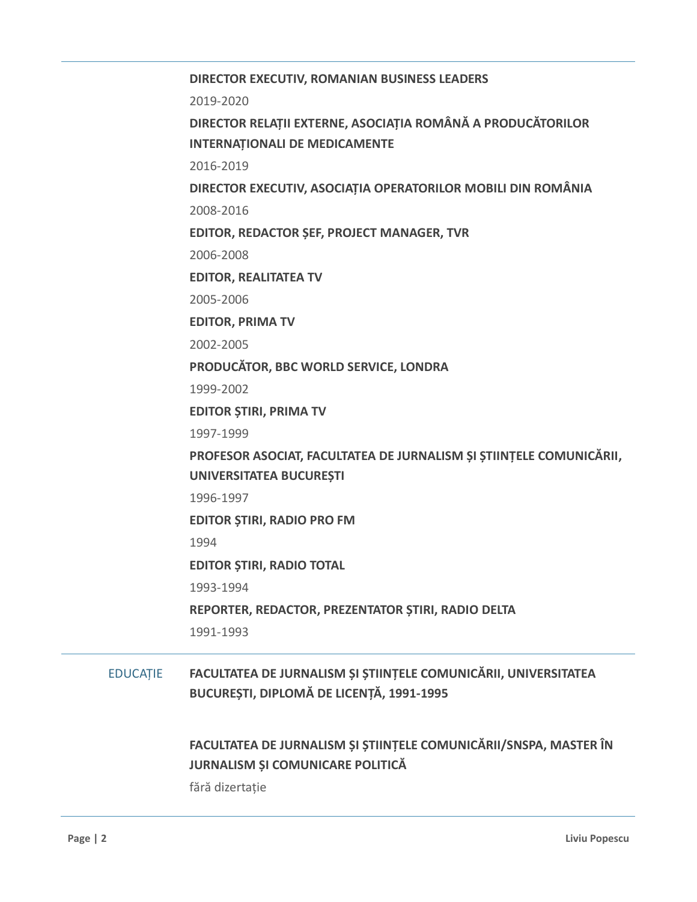**DIRECTOR EXECUTIV, ROMANIAN BUSINESS LEADERS** 2019-2020 **DIRECTOR RELAȚII EXTERNE, ASOCIAȚIA ROMÂNĂ A PRODUCĂTORILOR INTERNAȚIONALI DE MEDICAMENTE** 2016-2019 **DIRECTOR EXECUTIV, ASOCIAȚIA OPERATORILOR MOBILI DIN ROMÂNIA** 2008-2016 **EDITOR, REDACTOR ȘEF, PROJECT MANAGER, TVR** 2006-2008 **EDITOR, REALITATEA TV** 2005-2006 **EDITOR, PRIMA TV** 2002-2005 **PRODUCĂTOR, BBC WORLD SERVICE, LONDRA** 1999-2002 **EDITOR ȘTIRI, PRIMA TV** 1997-1999 **PROFESOR ASOCIAT, FACULTATEA DE JURNALISM ȘI ȘTIINȚELE COMUNICĂRII, UNIVERSITATEA BUCUREȘTI** 1996-1997 **EDITOR ȘTIRI, RADIO PRO FM** 1994 **EDITOR ȘTIRI, RADIO TOTAL** 1993-1994 **REPORTER, REDACTOR, PREZENTATOR ȘTIRI, RADIO DELTA** 1991-1993 EDUCAȚIE **FACULTATEA DE JURNALISM ȘI ȘTIINȚELE COMUNICĂRII, UNIVERSITATEA BUCUREȘTI, DIPLOMĂ DE LICENȚĂ, 1991-1995 FACULTATEA DE JURNALISM ȘI ȘTIINȚELE COMUNICĂRII/SNSPA, MASTER ÎN JURNALISM ȘI COMUNICARE POLITICĂ** fără dizertație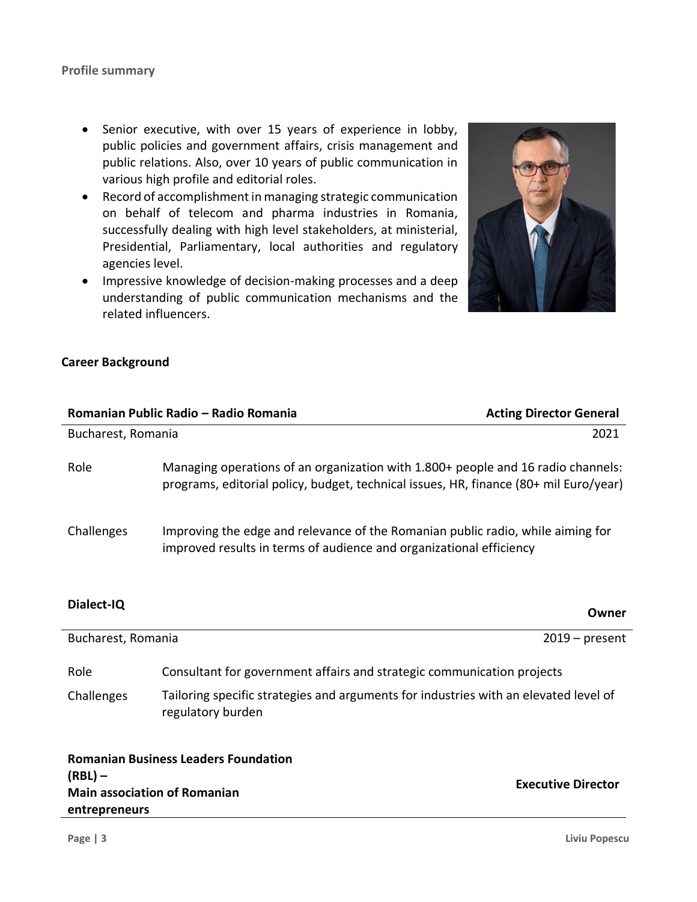- Senior executive, with over 15 years of experience in lobby, public policies and government affairs, crisis management and public relations. Also, over 10 years of public communication in various high profile and editorial roles.
- Record of accomplishment in managing strategic communication on behalf of telecom and pharma industries in Romania, successfully dealing with high level stakeholders, at ministerial, Presidential, Parliamentary, local authorities and regulatory agencies level.
- Impressive knowledge of decision-making processes and a deep understanding of public communication mechanisms and the related influencers.



## **Career Background**

|                                                                   | Romanian Public Radio - Radio Romania                                                                                                                                     | <b>Acting Director General</b> |
|-------------------------------------------------------------------|---------------------------------------------------------------------------------------------------------------------------------------------------------------------------|--------------------------------|
| Bucharest, Romania                                                |                                                                                                                                                                           | 2021                           |
| Role                                                              | Managing operations of an organization with 1.800+ people and 16 radio channels:<br>programs, editorial policy, budget, technical issues, HR, finance (80+ mil Euro/year) |                                |
| Challenges                                                        | Improving the edge and relevance of the Romanian public radio, while aiming for<br>improved results in terms of audience and organizational efficiency                    |                                |
| Dialect-IQ                                                        |                                                                                                                                                                           | Owner                          |
| Bucharest, Romania                                                |                                                                                                                                                                           | $2019$ – present               |
| Role                                                              | Consultant for government affairs and strategic communication projects                                                                                                    |                                |
| Challenges                                                        | Tailoring specific strategies and arguments for industries with an elevated level of<br>regulatory burden                                                                 |                                |
| <b>Romanian Business Leaders Foundation</b>                       |                                                                                                                                                                           |                                |
| $(RBL)$ –<br><b>Main association of Romanian</b><br>entrepreneurs |                                                                                                                                                                           | <b>Executive Director</b>      |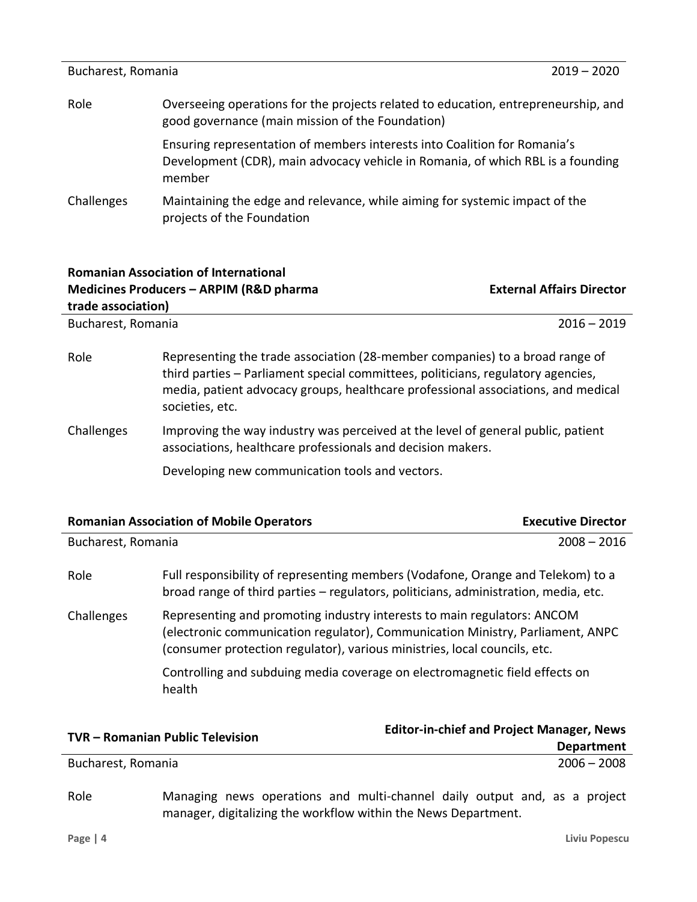| Bucharest, Romania                                                                                                                             | $2019 - 2020$                                                                                                                                                          |
|------------------------------------------------------------------------------------------------------------------------------------------------|------------------------------------------------------------------------------------------------------------------------------------------------------------------------|
| Overseeing operations for the projects related to education, entrepreneurship, and<br>Role<br>good governance (main mission of the Foundation) |                                                                                                                                                                        |
|                                                                                                                                                | Ensuring representation of members interests into Coalition for Romania's<br>Development (CDR), main advocacy vehicle in Romania, of which RBL is a founding<br>member |
| Challenges                                                                                                                                     | Maintaining the edge and relevance, while aiming for systemic impact of the<br>projects of the Foundation                                                              |

| <b>Romanian Association of International</b><br>Medicines Producers - ARPIM (R&D pharma<br>trade association) |                                                                                                                                                                                                                                                                          | <b>External Affairs Director</b> |
|---------------------------------------------------------------------------------------------------------------|--------------------------------------------------------------------------------------------------------------------------------------------------------------------------------------------------------------------------------------------------------------------------|----------------------------------|
| Bucharest, Romania                                                                                            |                                                                                                                                                                                                                                                                          | $2016 - 2019$                    |
| Role                                                                                                          | Representing the trade association (28-member companies) to a broad range of<br>third parties - Parliament special committees, politicians, regulatory agencies,<br>media, patient advocacy groups, healthcare professional associations, and medical<br>societies, etc. |                                  |
| Challenges                                                                                                    | Improving the way industry was perceived at the level of general public, patient<br>associations, healthcare professionals and decision makers.                                                                                                                          |                                  |
|                                                                                                               | Developing new communication tools and vectors.                                                                                                                                                                                                                          |                                  |

|                                                                                                                                                                                                                                                      | <b>Romanian Association of Mobile Operators</b>                                                                                                                        | <b>Executive Director</b> |
|------------------------------------------------------------------------------------------------------------------------------------------------------------------------------------------------------------------------------------------------------|------------------------------------------------------------------------------------------------------------------------------------------------------------------------|---------------------------|
| Bucharest, Romania                                                                                                                                                                                                                                   |                                                                                                                                                                        | $2008 - 2016$             |
| Role                                                                                                                                                                                                                                                 | Full responsibility of representing members (Vodafone, Orange and Telekom) to a<br>broad range of third parties – regulators, politicians, administration, media, etc. |                           |
| Representing and promoting industry interests to main regulators: ANCOM<br>Challenges<br>(electronic communication regulator), Communication Ministry, Parliament, ANPC<br>(consumer protection regulator), various ministries, local councils, etc. |                                                                                                                                                                        |                           |
|                                                                                                                                                                                                                                                      | Controlling and subduing media coverage on electromagnetic field effects on<br>health                                                                                  |                           |
|                                                                                                                                                                                                                                                      |                                                                                                                                                                        | .                         |

| <b>TVR - Romanian Public Television</b> | <b>Editor-in-chief and Project Manager, News</b> |  |
|-----------------------------------------|--------------------------------------------------|--|
|                                         | <b>Department</b>                                |  |
| Bucharest, Romania                      | $2006 - 2008$                                    |  |

Role Managing news operations and multi-channel daily output and, as a project manager, digitalizing the workflow within the News Department.